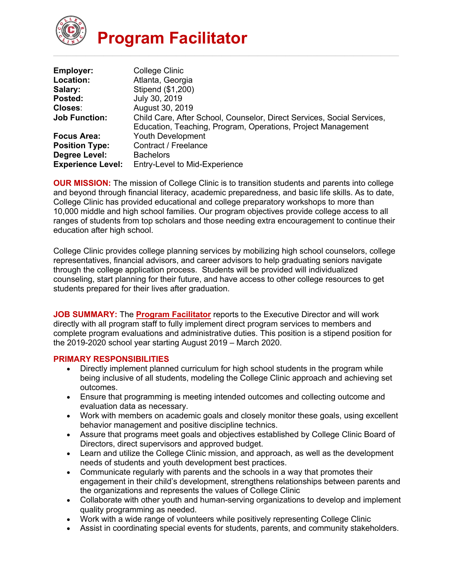

| <b>Employer:</b>         | College Clinic                                                         |
|--------------------------|------------------------------------------------------------------------|
| Location:                | Atlanta, Georgia                                                       |
| Salary:                  | Stipend (\$1,200)                                                      |
| Posted:                  | July 30, 2019                                                          |
| Closes:                  | August 30, 2019                                                        |
| <b>Job Function:</b>     | Child Care, After School, Counselor, Direct Services, Social Services, |
|                          | Education, Teaching, Program, Operations, Project Management           |
| <b>Focus Area:</b>       | <b>Youth Development</b>                                               |
| <b>Position Type:</b>    | Contract / Freelance                                                   |
| Degree Level:            | <b>Bachelors</b>                                                       |
| <b>Experience Level:</b> | Entry-Level to Mid-Experience                                          |

**OUR MISSION:** The mission of College Clinic is to transition students and parents into college and beyond through financial literacy, academic preparedness, and basic life skills. As to date, College Clinic has provided educational and college preparatory workshops to more than 10,000 middle and high school families. Our program objectives provide college access to all ranges of students from top scholars and those needing extra encouragement to continue their education after high school.

College Clinic provides college planning services by mobilizing high school counselors, college representatives, financial advisors, and career advisors to help graduating seniors navigate through the college application process. Students will be provided will individualized counseling, start planning for their future, and have access to other college resources to get students prepared for their lives after graduation.

**JOB SUMMARY:** The **Program Facilitator** reports to the Executive Director and will work directly with all program staff to fully implement direct program services to members and complete program evaluations and administrative duties. This position is a stipend position for the 2019-2020 school year starting August 2019 – March 2020.

## **PRIMARY RESPONSIBILITIES**

- Directly implement planned curriculum for high school students in the program while being inclusive of all students, modeling the College Clinic approach and achieving set outcomes.
- Ensure that programming is meeting intended outcomes and collecting outcome and evaluation data as necessary.
- Work with members on academic goals and closely monitor these goals, using excellent behavior management and positive discipline technics.
- Assure that programs meet goals and objectives established by College Clinic Board of Directors, direct supervisors and approved budget.
- Learn and utilize the College Clinic mission, and approach, as well as the development needs of students and youth development best practices.
- Communicate regularly with parents and the schools in a way that promotes their engagement in their child's development, strengthens relationships between parents and the organizations and represents the values of College Clinic
- Collaborate with other youth and human-serving organizations to develop and implement quality programming as needed.
- Work with a wide range of volunteers while positively representing College Clinic
- Assist in coordinating special events for students, parents, and community stakeholders.